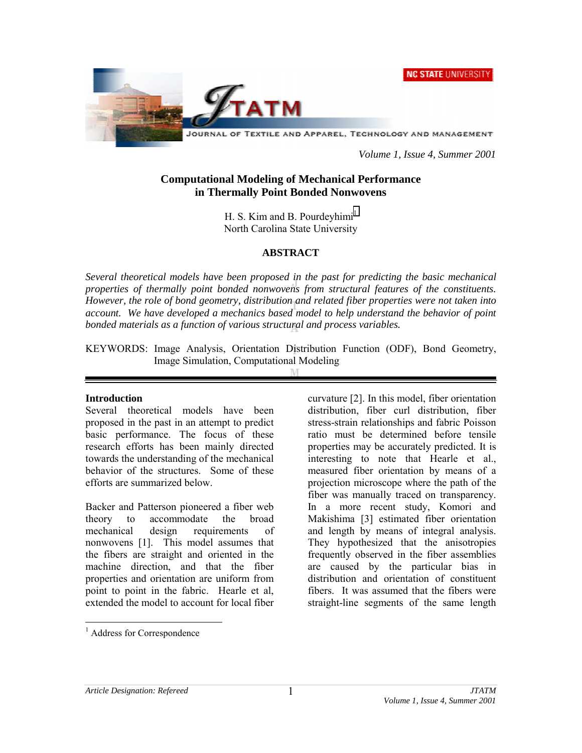**NC STATE UNIVERSITY** 



JOURNAL OF TEXTILE AND APPAREL, TECHNOLOGY AND MANAGEMENT

*Volume 1, Issue 4, Summer 2001* 

# **Computational Modeling of Mechanical Performance in Thermally Point Bonded Nonwovens**

H. S. Kim and B. Pourdeyhimi<sup>1</sup> North Carolina State University

## **ABSTRACT**

*Several theoretical models have been proposed in the past for predicting the basic mechanical properties of thermally point bonded nonwovens from structural features of the constituents. However, the role of bond geometry, distribution and related fiber properties were not taken into account. We have developed a mechanics based model to help understand the behavior of point bonded materials as a function of various structural and process variables.* 

KEYWORDS: Image Analysis, Orientation Distribution Function (ODF), Bond Geometry, Image Simulation, Computational Modeling

### **Introduction**

Several theoretical models have been proposed in the past in an attempt to predict basic performance. The focus of these research efforts has been mainly directed towards the understanding of the mechanical behavior of the structures. Some of these efforts are summarized below.

Backer and Patterson pioneered a fiber web theory to accommodate the broad mechanical design requirements of nonwovens [1]. This model assumes that the fibers are straight and oriented in the machine direction, and that the fiber properties and orientation are uniform from point to point in the fabric. Hearle et al, extended the model to account for local fiber

curvature [2]. In this model, fiber orientation distribution, fiber curl distribution, fiber stress-strain relationships and fabric Poisson ratio must be determined before tensile properties may be accurately predicted. It is interesting to note that Hearle et al., measured fiber orientation by means of a projection microscope where the path of the fiber was manually traced on transparency. In a more recent study, Komori and Makishima [3] estimated fiber orientation and length by means of integral analysis. They hypothesized that the anisotropies frequently observed in the fiber assemblies are caused by the particular bias in distribution and orientation of constituent fibers. It was assumed that the fibers were straight-line segments of the same length

 $\overline{a}$ 

<sup>&</sup>lt;sup>1</sup> Address for Correspondence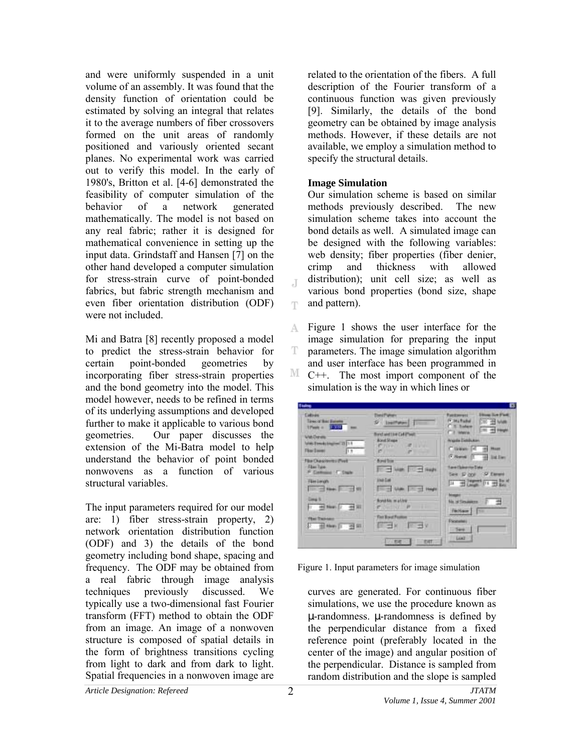and were uniformly suspended in a unit volume of an assembly. It was found that the density function of orientation could be estimated by solving an integral that relates it to the average numbers of fiber crossovers formed on the unit areas of randomly positioned and variously oriented secant planes. No experimental work was carried out to verify this model. In the early of 1980's, Britton et al. [4-6] demonstrated the feasibility of computer simulation of the behavior of a network generated mathematically. The model is not based on any real fabric; rather it is designed for mathematical convenience in setting up the input data. Grindstaff and Hansen [7] on the other hand developed a computer simulation for stress-strain curve of point-bonded fabrics, but fabric strength mechanism and even fiber orientation distribution (ODF) were not included.

Mi and Batra [8] recently proposed a model to predict the stress-strain behavior for certain point-bonded geometries by incorporating fiber stress-strain properties and the bond geometry into the model. This model however, needs to be refined in terms of its underlying assumptions and developed further to make it applicable to various bond geometries. Our paper discusses the extension of the Mi-Batra model to help understand the behavior of point bonded nonwovens as a function of various structural variables.

The input parameters required for our model are: 1) fiber stress-strain property, 2) network orientation distribution function (ODF) and 3) the details of the bond geometry including bond shape, spacing and frequency. The ODF may be obtained from a real fabric through image analysis techniques previously discussed. We typically use a two-dimensional fast Fourier transform (FFT) method to obtain the ODF from an image. An image of a nonwoven structure is composed of spatial details in the form of brightness transitions cycling from light to dark and from dark to light. Spatial frequencies in a nonwoven image are

related to the orientation of the fibers. A full description of the Fourier transform of a continuous function was given previously [9]. Similarly, the details of the bond geometry can be obtained by image analysis methods. However, if these details are not available, we employ a simulation method to specify the structural details.

### **Image Simulation**

 $\mathbb{I}$ 

Ŧ

Our simulation scheme is based on similar methods previously described. The new simulation scheme takes into account the bond details as well. A simulated image can be designed with the following variables: web density; fiber properties (fiber denier, crimp and thickness with allowed distribution); unit cell size; as well as various bond properties (bond size, shape and pattern).

Figure 1 shows the user interface for the A. image simulation for preparing the input T parameters. The image simulation algorithm and user interface has been programmed in M C++. The most import component of the simulation is the way in which lines or

| <b>Electric</b>                                                                      |                                                                                                                                       | o                                                                                                     |
|--------------------------------------------------------------------------------------|---------------------------------------------------------------------------------------------------------------------------------------|-------------------------------------------------------------------------------------------------------|
| Cattage<br><b>Tires of Boat Europea</b><br>Them a Child                              | <b><i><u>EMITYME</u></i></b>                                                                                                          | <b>Show live First</b><br><b>Ratchward</b><br>Fr. Inc. Rudolf<br><b>CIO el Male</b><br>C. S. Sadare   |
| <b>Web Denete</b><br>Write: Elements Amazine: 23   1.4<br><b>Fice Execut</b><br>B.E. | <b>Bianch wind Love Cadill'healt</b><br><b>Bond Sheen</b><br><b>CAR IN STREET</b><br><b>C.TUYPOT</b><br><b>CITY</b><br><b>COMMAND</b> | <b>Contract Editorial</b><br><b>C.E. MAINE</b><br><b>Wande Distribution</b><br>C. Linkson, C. 49 Moon |
| Film Characterms (Post)<br>Floor Tube<br>P. Cashuard 17, Dayle                       | <b>Bond from</b><br><b>TO - Sept. TO - Sept.</b>                                                                                      | C. Horsell (1) and link lines<br><b>Save Claimenter Data</b><br>Sele 12 core 52 Elevent               |
| <b>Timiawan</b><br>110 40 Main 1 44 Mil                                              | <b>Joan East</b><br><b>CONTRACTOR</b> PROPE                                                                                           | <b>三田 三田 山田 三田</b>                                                                                    |
| <b>Cong St</b><br><b>C Hilling C HILL</b>                                            | <b>Bond kis mather</b><br>Thomas Portugal                                                                                             | No. of Simulations 1127<br><b>Hellow   Time</b>                                                       |
| <b>Fisi Tanaer</b><br>2 dimension of \$8.                                            | <b>Terriffront Pro</b><br>$E^* \rightarrow M$<br>$P = -1$                                                                             | <b>Ficateless</b><br>$-544$                                                                           |
|                                                                                      | <b>DIT</b><br>121,898                                                                                                                 | Lust                                                                                                  |

Figure 1. Input parameters for image simulation

curves are generated. For continuous fiber simulations, we use the procedure known as µ-randomness. µ-randomness is defined by the perpendicular distance from a fixed reference point (preferably located in the center of the image) and angular position of the perpendicular. Distance is sampled from random distribution and the slope is sampled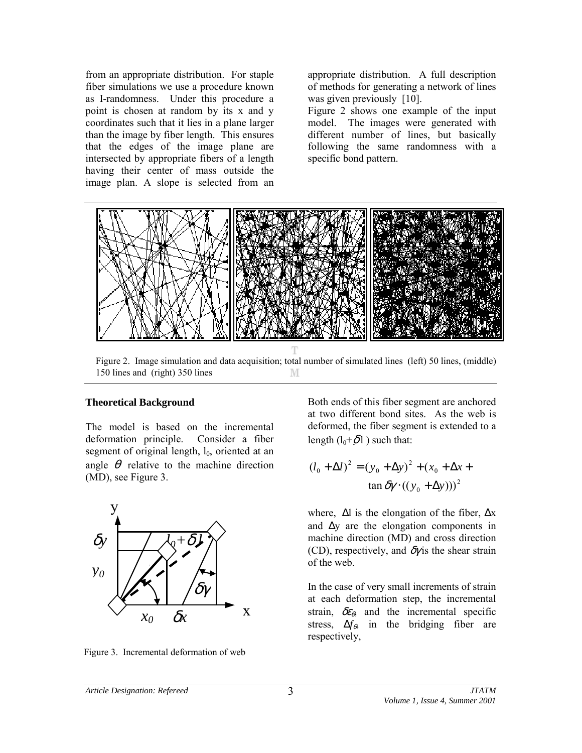from an appropriate distribution. For staple fiber simulations we use a procedure known as I-randomness. Under this procedure a point is chosen at random by its x and y coordinates such that it lies in a plane larger than the image by fiber length. This ensures that the edges of the image plane are intersected by appropriate fibers of a length having their center of mass outside the image plan. A slope is selected from an

appropriate distribution. A full description of methods for generating a network of lines was given previously [10].

Figure 2 shows one example of the input model. The images were generated with different number of lines, but basically following the same randomness with a specific bond pattern.



Figure 2. Image simulation and data acquisition; total number of simulated lines (left) 50 lines, (middle) 150 lines and (right) 350 lines М

### **Theoretical Background**

The model is based on the incremental deformation principle. Consider a fiber segment of original length,  $l_0$ , oriented at an angle  $\theta$  relative to the machine direction (MD), see Figure 3.



Figure 3. Incremental deformation of web

Both ends of this fiber segment are anchored at two different bond sites. As the web is deformed, the fiber segment is extended to a length  $(l_0+\delta l)$  such that:

$$
(l_0 + \Delta l)^2 = (y_0 + \Delta y)^2 + (x_0 + \Delta x + \tan \delta y \cdot ((y_0 + \Delta y)))^2
$$

where,  $\Delta l$  is the elongation of the fiber,  $\Delta x$ and ∆y are the elongation components in machine direction (MD) and cross direction (CD), respectively, and  $\delta y$  is the shear strain of the web.

In the case of very small increments of strain at each deformation step, the incremental strain,  $\delta \varepsilon_{\theta}$ , and the incremental specific stress,  $\Delta f_{\theta}$ , in the bridging fiber are respectively,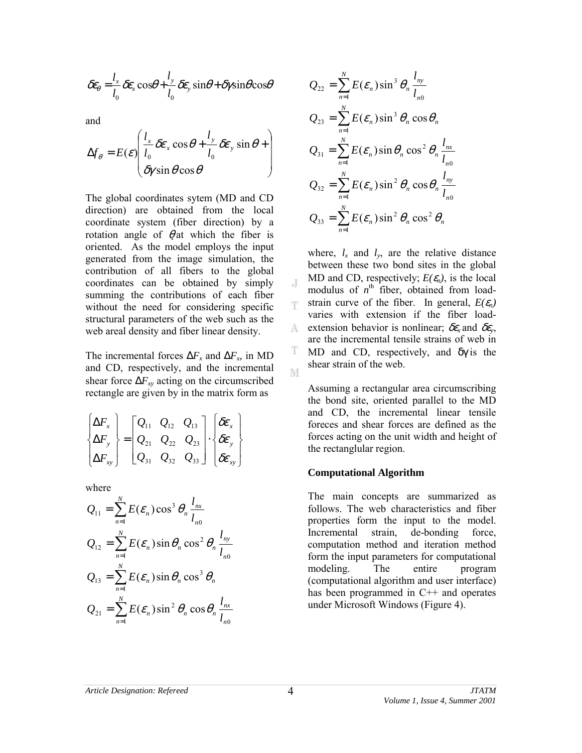$$
\delta \varepsilon_{\theta} = \frac{l_{x}}{l_{0}} \delta \varepsilon_{x} \cos \theta + \frac{l_{y}}{l_{0}} \delta \varepsilon_{y} \sin \theta + \delta \gamma \sin \theta \cos \theta
$$

and

$$
\Delta f_{\theta} = E(\varepsilon) \left( \frac{l_x}{l_0} \delta \varepsilon_x \cos \theta + \frac{l_y}{l_0} \delta \varepsilon_y \sin \theta + \right) \n\delta \gamma \sin \theta \cos \theta
$$

The global coordinates sytem (MD and CD direction) are obtained from the local coordinate system (fiber direction) by a rotation angle of  $\theta$  at which the fiber is oriented. As the model employs the input generated from the image simulation, the contribution of all fibers to the global coordinates can be obtained by simply summing the contributions of each fiber without the need for considering specific structural parameters of the web such as the web areal density and fiber linear density.

The incremental forces  $\Delta F_x$  and  $\Delta F_x$ , in MD and CD, respectively, and the incremental shear force  $\Delta F_{xy}$  acting on the circumscribed rectangle are given by in the matrix form as

$$
\begin{Bmatrix}\n\Delta F_x \\
\Delta F_y \\
\Delta F_{xy}\n\end{Bmatrix} =\n\begin{bmatrix}\nQ_{11} & Q_{12} & Q_{13} \\
Q_{21} & Q_{22} & Q_{23} \\
Q_{31} & Q_{32} & Q_{33}\n\end{bmatrix} \cdot \begin{Bmatrix}\n\delta \varepsilon_x \\
\delta \varepsilon_y \\
\delta \varepsilon_{xy}\n\end{Bmatrix}
$$

where

$$
Q_{11} = \sum_{n=1}^{N} E(\varepsilon_n) \cos^3 \theta_n \frac{l_{nx}}{l_{n0}}
$$
  
\n
$$
Q_{12} = \sum_{n=1}^{N} E(\varepsilon_n) \sin \theta_n \cos^2 \theta_n \frac{l_{ny}}{l_{n0}}
$$
  
\n
$$
Q_{13} = \sum_{n=1}^{N} E(\varepsilon_n) \sin \theta_n \cos^3 \theta_n
$$
  
\n
$$
Q_{21} = \sum_{n=1}^{N} E(\varepsilon_n) \sin^2 \theta_n \cos \theta_n \frac{l_{nx}}{l_{n0}}
$$

$$
Q_{22} = \sum_{n=1}^{N} E(\varepsilon_n) \sin^3 \theta_n \frac{l_{ny}}{l_{n0}}
$$
  
\n
$$
Q_{23} = \sum_{n=1}^{N} E(\varepsilon_n) \sin^3 \theta_n \cos \theta_n
$$
  
\n
$$
Q_{31} = \sum_{n=1}^{N} E(\varepsilon_n) \sin \theta_n \cos^2 \theta_n \frac{l_{nx}}{l_{n0}}
$$
  
\n
$$
Q_{32} = \sum_{n=1}^{N} E(\varepsilon_n) \sin^2 \theta_n \cos \theta_n \frac{l_{ny}}{l_{n0}}
$$
  
\n
$$
Q_{33} = \sum_{n=1}^{N} E(\varepsilon_n) \sin^2 \theta_n \cos^2 \theta_n
$$

where,  $l_x$  and  $l_y$ , are the relative distance between these two bond sites in the global MD and CD, respectively;  $E(\mathcal{E}_n)$ , is the local modulus of  $n^{\text{th}}$  fiber, obtained from loadstrain curve of the fiber. In general,  $E(\mathcal{E}_n)$ Ŧ varies with extension if the fiber loadextension behavior is nonlinear;  $\delta \varepsilon$ <sub>x</sub> and  $\delta \varepsilon$ <sub>y</sub>, A. are the incremental tensile strains of web in T MD and CD, respectively, and δγ is the shear strain of the web. M

Assuming a rectangular area circumscribing the bond site, oriented parallel to the MD and CD, the incremental linear tensile foreces and shear forces are defined as the forces acting on the unit width and height of the rectanglular region.

#### **Computational Algorithm**

The main concepts are summarized as follows. The web characteristics and fiber properties form the input to the model. Incremental strain, de-bonding force, computation method and iteration method form the input parameters for computational modeling. The entire program (computational algorithm and user interface) has been programmed in C<sup>++</sup> and operates under Microsoft Windows (Figure 4).

J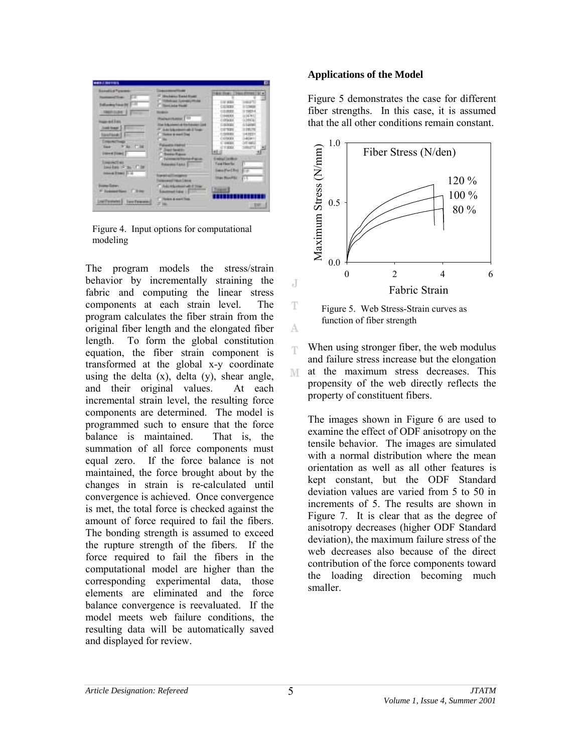| <b>Sunstitut Futures</b>             | <b>SHOW</b>                             |                                             |
|--------------------------------------|-----------------------------------------|---------------------------------------------|
| <b><i><u>Increased State</u></i></b> | 17 Hockshot Bank filmed                 | ٠                                           |
| <b>Enthusing Francists</b>           | <b>TORyk as Tuesday Mode</b>            | 37, 35, 35<br><b>ALLIT</b>                  |
|                                      | <b>TRINGALE FINISH</b>                  | STORY                                       |
| <b>HASPITALISM</b>                   |                                         | 1001<br><b>GEORG</b><br><b>SEW1</b>         |
|                                      | <b>Remained 10</b>                      | 14421<br><b>IRGUIA</b>                      |
| <b>Hair ad Ives</b>                  | <b>The following a limitary of Link</b> | <b>BOOD</b><br>CEGONIA                      |
| <b>José Image</b>                    | Auto Adamsteri unti il fondo            | <b>STYLES</b><br>LEWITH                     |
| avenues,<br>m                        | <b>Theles is need Tree</b>              | 5000<br>$-4.19201$                          |
| <b>DRAUBU</b>                        | <b>COM</b>                              | <b>DEATH</b><br>1405411<br>Street<br>100000 |
| <b>SECTION</b><br>Tark 17            | <b>Falsesta Holtel</b>                  | "Internet<br>CYERE                          |
| <b>Users (Gard)</b>                  | IT Southwest<br><b>Server Room</b>      | <b>SELL</b>                                 |
|                                      | <b>Tommitt Holla Face</b>               | Eminut Jackson                              |
| <b>SIAU/ACEAL</b>                    | <b><i><u>Rolandoni Egali 1</u></i></b>  | <b>Tune Flow for</b><br>m.                  |
| basidian (Francis De                 |                                         | Into Fort Fel<br>$-$                        |
| Internal Direct (11.14)              | <b>NAME OF GROOM</b>                    |                                             |
|                                      | <b><i>STRINGER TIGHT CALLS</i></b>      | <b>Start Monthlin</b><br><b>F15.1</b>       |
| <b><i><u>Instead Sales</u></i></b>   | Additional At 23 am                     |                                             |
| F Science News C. S. Here            | <b>Sautout lide 11</b>                  | <b>Tiles</b>                                |
|                                      |                                         | .                                           |
| <b>LIMTWOODS: SawTweeds</b>          | <b>These Keen Ties</b><br>27 lbs.       |                                             |

Figure 4. Input options for computational modeling

The program models the stress/strain behavior by incrementally straining the fabric and computing the linear stress components at each strain level. The program calculates the fiber strain from the original fiber length and the elongated fiber length. To form the global constitution equation, the fiber strain component is transformed at the global x-y coordinate using the delta  $(x)$ , delta  $(y)$ , shear angle, and their original values. At each incremental strain level, the resulting force components are determined. The model is programmed such to ensure that the force balance is maintained. That is, the summation of all force components must equal zero. If the force balance is not maintained, the force brought about by the changes in strain is re-calculated until convergence is achieved. Once convergence is met, the total force is checked against the amount of force required to fail the fibers. The bonding strength is assumed to exceed the rupture strength of the fibers. If the force required to fail the fibers in the computational model are higher than the corresponding experimental data, those elements are eliminated and the force balance convergence is reevaluated. If the model meets web failure conditions, the resulting data will be automatically saved and displayed for review.

#### **Applications of the Model**

Figure 5 demonstrates the case for different fiber strengths. In this case, it is assumed that the all other conditions remain constant.



Figure 5. Web Stress-Strain curves as function of fiber strength

When using stronger fiber, the web modulus and failure stress increase but the elongation at the maximum stress decreases. This M propensity of the web directly reflects the property of constituent fibers.

The images shown in Figure 6 are used to examine the effect of ODF anisotropy on the tensile behavior. The images are simulated with a normal distribution where the mean orientation as well as all other features is kept constant, but the ODF Standard deviation values are varied from 5 to 50 in increments of 5. The results are shown in Figure 7. It is clear that as the degree of anisotropy decreases (higher ODF Standard deviation), the maximum failure stress of the web decreases also because of the direct contribution of the force components toward the loading direction becoming much smaller.

J

T

А

Ŧ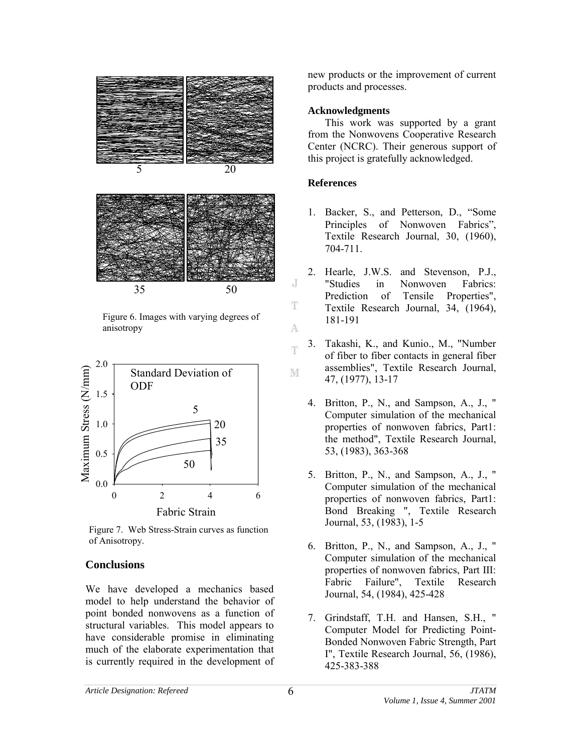

Figure 6. Images with varying degrees of anisotropy



Figure 7. Web Stress-Strain curves as function of Anisotropy.

## **Conclusions**

We have developed a mechanics based model to help understand the behavior of point bonded nonwovens as a function of structural variables. This model appears to have considerable promise in eliminating much of the elaborate experimentation that is currently required in the development of

new products or the improvement of current products and processes.

## **Acknowledgments**

This work was supported by a grant from the Nonwovens Cooperative Research Center (NCRC). Their generous support of this project is gratefully acknowledged.

# **References**

J

T

А

T

- 1. Backer, S., and Petterson, D., "Some Principles of Nonwoven Fabrics", Textile Research Journal, 30, (1960), 704-711.
- 2. Hearle, J.W.S. and Stevenson, P.J., "Studies in Nonwoven Fabrics: Prediction of Tensile Properties", Textile Research Journal, 34, (1964), 181-191
- 3. Takashi, K., and Kunio., M., "Number of fiber to fiber contacts in general fiber assemblies", Textile Research Journal, M 47, (1977), 13-17
	- 4. Britton, P., N., and Sampson, A., J., " Computer simulation of the mechanical properties of nonwoven fabrics, Part1: the method", Textile Research Journal, 53, (1983), 363-368
	- 5. Britton, P., N., and Sampson, A., J., " Computer simulation of the mechanical properties of nonwoven fabrics, Part1: Bond Breaking ", Textile Research Journal, 53, (1983), 1-5
	- 6. Britton, P., N., and Sampson, A., J., " Computer simulation of the mechanical properties of nonwoven fabrics, Part III: Fabric Failure", Textile Research Journal, 54, (1984), 425-428
	- 7. Grindstaff, T.H. and Hansen, S.H., " Computer Model for Predicting Point-Bonded Nonwoven Fabric Strength, Part I", Textile Research Journal, 56, (1986), 425-383-388